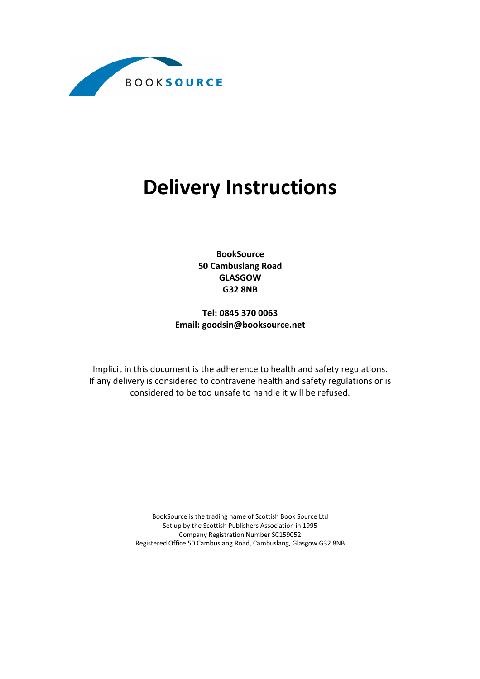

# Delivery Instructions

BookSource 50 Cambuslang Road GLASGOW G32 8NB

Tel: 0845 370 0063 Email: goodsin@booksource.net

Implicit in this document is the adherence to health and safety regulations. If any delivery is considered to contravene health and safety regulations or is considered to be too unsafe to handle it will be refused.

> BookSource is the trading name of Scottish Book Source Ltd Set up by the Scottish Publishers Association in 1995 Company Registration Number SC159052 Registered Office 50 Cambuslang Road, Cambuslang, Glasgow G32 8NB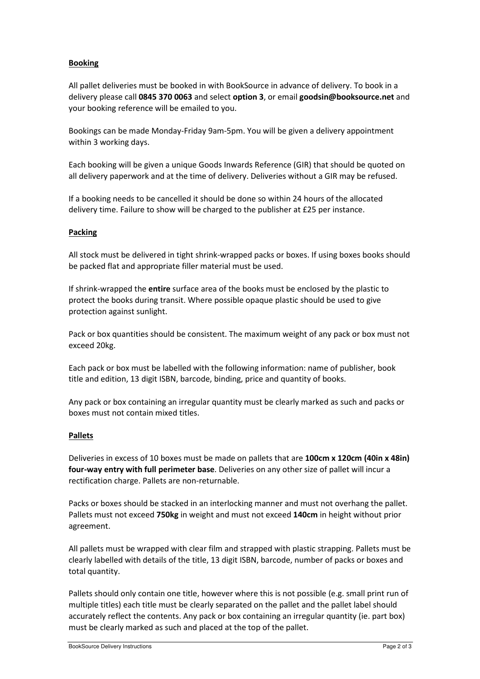## Booking

All pallet deliveries must be booked in with BookSource in advance of delivery. To book in a delivery please call 0845 370 0063 and select option 3, or email goodsin@booksource.net and your booking reference will be emailed to you.

Bookings can be made Monday-Friday 9am-5pm. You will be given a delivery appointment within 3 working days.

Each booking will be given a unique Goods Inwards Reference (GIR) that should be quoted on all delivery paperwork and at the time of delivery. Deliveries without a GIR may be refused.

If a booking needs to be cancelled it should be done so within 24 hours of the allocated delivery time. Failure to show will be charged to the publisher at £25 per instance.

## Packing

All stock must be delivered in tight shrink-wrapped packs or boxes. If using boxes books should be packed flat and appropriate filler material must be used.

If shrink-wrapped the **entire** surface area of the books must be enclosed by the plastic to protect the books during transit. Where possible opaque plastic should be used to give protection against sunlight.

Pack or box quantities should be consistent. The maximum weight of any pack or box must not exceed 20kg.

Each pack or box must be labelled with the following information: name of publisher, book title and edition, 13 digit ISBN, barcode, binding, price and quantity of books.

Any pack or box containing an irregular quantity must be clearly marked as such and packs or boxes must not contain mixed titles.

## Pallets

Deliveries in excess of 10 boxes must be made on pallets that are 100cm x 120cm (40in x 48in) four-way entry with full perimeter base. Deliveries on any other size of pallet will incur a rectification charge. Pallets are non-returnable.

Packs or boxes should be stacked in an interlocking manner and must not overhang the pallet. Pallets must not exceed 750kg in weight and must not exceed 140cm in height without prior agreement.

All pallets must be wrapped with clear film and strapped with plastic strapping. Pallets must be clearly labelled with details of the title, 13 digit ISBN, barcode, number of packs or boxes and total quantity.

Pallets should only contain one title, however where this is not possible (e.g. small print run of multiple titles) each title must be clearly separated on the pallet and the pallet label should accurately reflect the contents. Any pack or box containing an irregular quantity (ie. part box) must be clearly marked as such and placed at the top of the pallet.